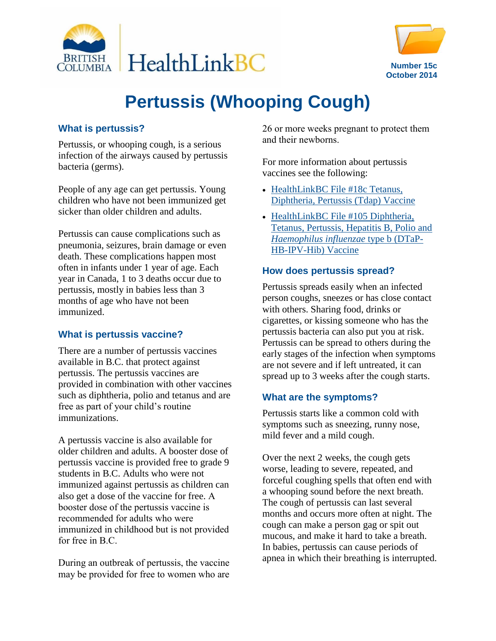



# **Pertussis (Whooping Cough)**

### **What is pertussis?**

Pertussis, or whooping cough, is a serious infection of the airways caused by pertussis bacteria (germs).

People of any age can get pertussis. Young children who have not been immunized get sicker than older children and adults.

Pertussis can cause complications such as pneumonia, seizures, brain damage or even death. These complications happen most often in infants under 1 year of age. Each year in Canada, 1 to 3 deaths occur due to pertussis, mostly in babies less than 3 months of age who have not been immunized.

#### **What is pertussis vaccine?**

There are a number of pertussis vaccines available in B.C. that protect against pertussis. The pertussis vaccines are provided in combination with other vaccines such as diphtheria, polio and tetanus and are free as part of your child's routine immunizations.

A pertussis vaccine is also available for older children and adults. A booster dose of pertussis vaccine is provided free to grade 9 students in B.C. Adults who were not immunized against pertussis as children can also get a dose of the vaccine for free. A booster dose of the pertussis vaccine is recommended for adults who were immunized in childhood but is not provided for free in B.C.

During an outbreak of pertussis, the vaccine may be provided for free to women who are

26 or more weeks pregnant to protect them and their newborns.

For more information about pertussis vaccines see the following:

- HealthLinkBC File #18c Tetanus, [Diphtheria, Pertussis \(Tdap\) Vaccine](http://www.healthlinkbc.ca/healthfiles/hfile18c.stm)
- HealthLinkBC File #105 Diphtheria, [Tetanus, Pertussis, Hepatitis B, Polio and](http://www.healthlinkbc.ca/healthfiles/hfile105.stm)  *[Haemophilus influenzae](http://www.healthlinkbc.ca/healthfiles/hfile105.stm)* type b (DTaP-[HB-IPV-Hib\) Vaccine](http://www.healthlinkbc.ca/healthfiles/hfile105.stm)

#### **How does pertussis spread?**

Pertussis spreads easily when an infected person coughs, sneezes or has close contact with others. Sharing food, drinks or cigarettes, or kissing someone who has the pertussis bacteria can also put you at risk. Pertussis can be spread to others during the early stages of the infection when symptoms are not severe and if left untreated, it can spread up to 3 weeks after the cough starts.

## **What are the symptoms?**

Pertussis starts like a common cold with symptoms such as sneezing, runny nose, mild fever and a mild cough.

Over the next 2 weeks, the cough gets worse, leading to severe, repeated, and forceful coughing spells that often end with a whooping sound before the next breath. The cough of pertussis can last several months and occurs more often at night. The cough can make a person gag or spit out mucous, and make it hard to take a breath. In babies, pertussis can cause periods of apnea in which their breathing is interrupted.